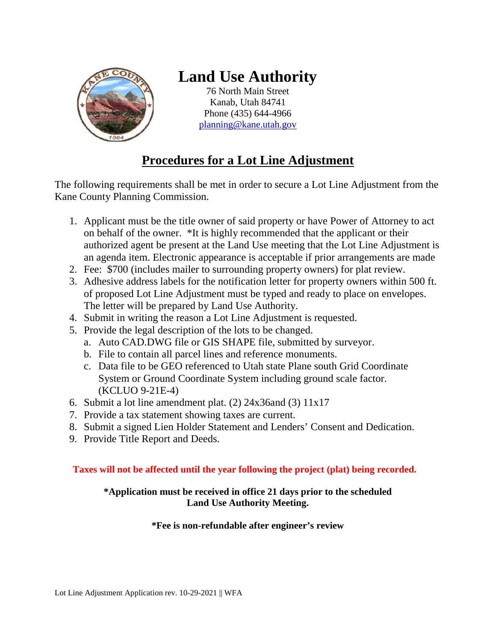

# **Land Use Authority**

76 North Main Street Kanab, Utah 84741 Phone (435) 644-4966 [planning@kane.utah.gov](mailto:planning@kane.utah.gov)

## **Procedures for a Lot Line Adjustment**

The following requirements shall be met in order to secure a Lot Line Adjustment from the Kane County Planning Commission.

- 1. Applicant must be the title owner of said property or have Power of Attorney to act on behalf of the owner. \*It is highly recommended that the applicant or their authorized agent be present at the Land Use meeting that the Lot Line Adjustment is an agenda item. Electronic appearance is acceptable if prior arrangements are made
- 2. Fee: \$700 (includes mailer to surrounding property owners) for plat review.
- 3. Adhesive address labels for the notification letter for property owners within 500 ft. of proposed Lot Line Adjustment must be typed and ready to place on envelopes. The letter will be prepared by Land Use Authority.
- 4. Submit in writing the reason a Lot Line Adjustment is requested.
- 5. Provide the legal description of the lots to be changed.
	- a. Auto CAD.DWG file or GIS SHAPE file, submitted by surveyor.
	- b. File to contain all parcel lines and reference monuments.
	- c. Data file to be GEO referenced to Utah state Plane south Grid Coordinate System or Ground Coordinate System including ground scale factor. (KCLUO 9-21E-4)
- 6. Submit a lot line amendment plat. (2) 24x36and (3) 11x17
- 7. Provide a tax statement showing taxes are current.
- 8. Submit a signed Lien Holder Statement and Lenders' Consent and Dedication.
- 9. Provide Title Report and Deeds.

#### **Taxes will not be affected until the year following the project (plat) being recorded.**

#### **\*Application must be received in office 21 days prior to the scheduled Land Use Authority Meeting.**

#### **\*Fee is non-refundable after engineer's review**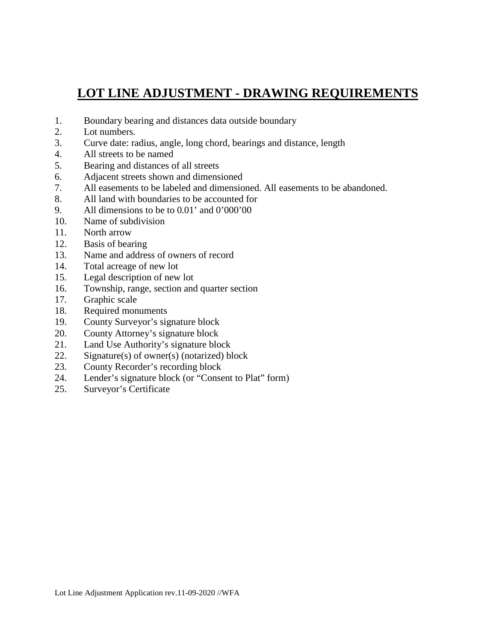### **LOT LINE ADJUSTMENT - DRAWING REQUIREMENTS**

- 1. Boundary bearing and distances data outside boundary
- 2. Lot numbers.
- 3. Curve date: radius, angle, long chord, bearings and distance, length
- 4. All streets to be named
- 5. Bearing and distances of all streets
- 6. Adjacent streets shown and dimensioned
- 7. All easements to be labeled and dimensioned. All easements to be abandoned.
- 8. All land with boundaries to be accounted for
- 9. All dimensions to be to 0.01' and 0'000'00
- 10. Name of subdivision
- 11. North arrow
- 12. Basis of bearing
- 13. Name and address of owners of record
- 14. Total acreage of new lot
- 15. Legal description of new lot
- 16. Township, range, section and quarter section
- 17. Graphic scale
- 18. Required monuments
- 19. County Surveyor's signature block
- 20. County Attorney's signature block
- 21. Land Use Authority's signature block
- 22. Signature(s) of owner(s) (notarized) block
- 23. County Recorder's recording block
- 24. Lender's signature block (or "Consent to Plat" form)
- 25. Surveyor's Certificate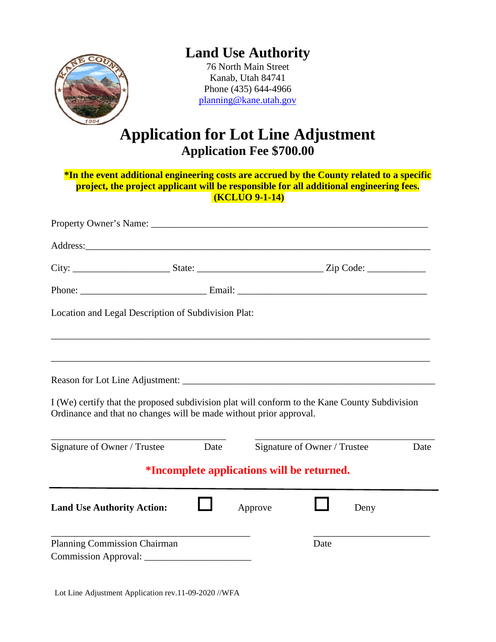

# **Land Use Authority**

76 North Main Street Kanab, Utah 84741 Phone (435) 644-4966 [planning@kane.utah.gov](mailto:planning@kane.utah.gov)

# **Application for Lot Line Adjustment Application Fee \$700.00**

| *In the event additional engineering costs are accrued by the County related to a specific                                                                          |      |                       |                              |      |      |  |  |
|---------------------------------------------------------------------------------------------------------------------------------------------------------------------|------|-----------------------|------------------------------|------|------|--|--|
| project, the project applicant will be responsible for all additional engineering fees.                                                                             |      | <b>(KCLUO 9-1-14)</b> |                              |      |      |  |  |
|                                                                                                                                                                     |      |                       |                              |      |      |  |  |
|                                                                                                                                                                     |      |                       |                              |      |      |  |  |
|                                                                                                                                                                     |      |                       |                              |      |      |  |  |
|                                                                                                                                                                     |      |                       |                              |      |      |  |  |
| Location and Legal Description of Subdivision Plat:                                                                                                                 |      |                       |                              |      |      |  |  |
|                                                                                                                                                                     |      |                       |                              |      |      |  |  |
|                                                                                                                                                                     |      |                       |                              |      |      |  |  |
|                                                                                                                                                                     |      |                       |                              |      |      |  |  |
| I (We) certify that the proposed subdivision plat will conform to the Kane County Subdivision<br>Ordinance and that no changes will be made without prior approval. |      |                       |                              |      |      |  |  |
| Signature of Owner / Trustee                                                                                                                                        | Date |                       | Signature of Owner / Trustee |      | Date |  |  |
| <i>*Incomplete applications will be returned.</i>                                                                                                                   |      |                       |                              |      |      |  |  |
| <b>Land Use Authority Action:</b>                                                                                                                                   |      | Approve               |                              | Deny |      |  |  |
| Planning Commission Chairman                                                                                                                                        |      |                       | Date                         |      |      |  |  |
| <b>Commission Approval:</b>                                                                                                                                         |      |                       |                              |      |      |  |  |

Lot Line Adjustment Application rev.11-09-2020 //WFA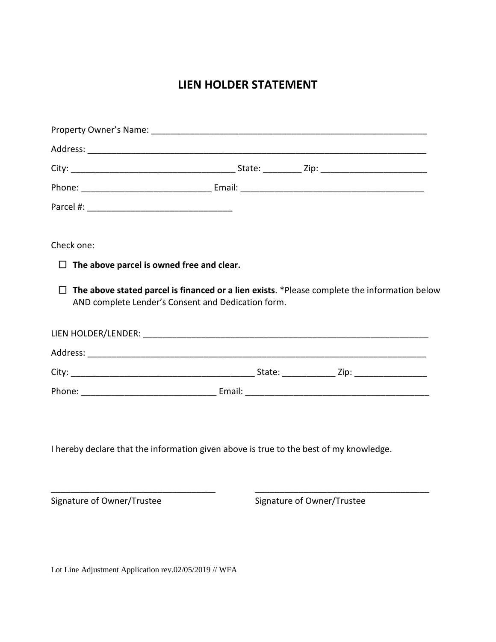### **LIEN HOLDER STATEMENT**

| Check one:                                                                             |                                                                                                                                                    |  |  |
|----------------------------------------------------------------------------------------|----------------------------------------------------------------------------------------------------------------------------------------------------|--|--|
| $\Box$ The above parcel is owned free and clear.                                       |                                                                                                                                                    |  |  |
| $\Box$                                                                                 | The above stated parcel is financed or a lien exists. *Please complete the information below<br>AND complete Lender's Consent and Dedication form. |  |  |
|                                                                                        |                                                                                                                                                    |  |  |
|                                                                                        |                                                                                                                                                    |  |  |
|                                                                                        |                                                                                                                                                    |  |  |
|                                                                                        |                                                                                                                                                    |  |  |
|                                                                                        |                                                                                                                                                    |  |  |
| I hereby declare that the information given above is true to the best of my knowledge. |                                                                                                                                                    |  |  |

\_\_\_\_\_\_\_\_\_\_\_\_\_\_\_\_\_\_\_\_\_\_\_\_\_\_\_\_\_\_\_\_\_\_ \_\_\_\_\_\_\_\_\_\_\_\_\_\_\_\_\_\_\_\_\_\_\_\_\_\_\_\_\_\_\_\_\_\_\_\_

Signature of Owner/Trustee Signature of Owner/Trustee

Lot Line Adjustment Application rev.02/05/2019 // WFA